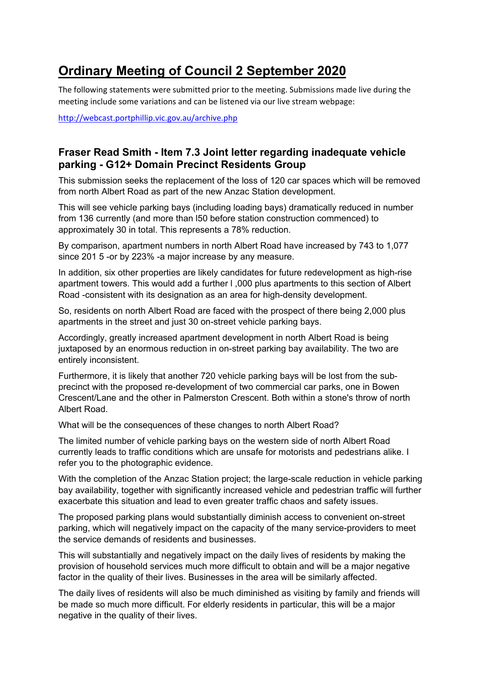# **Ordinary Meeting of Council 2 September 2020**

The following statements were submitted prior to the meeting. Submissions made live during the meeting include some variations and can be listened via our live stream webpage:

http://webcast.portphillip.vic.gov.au/archive.php

# **Fraser Read Smith - Item 7.3 Joint letter regarding inadequate vehicle parking - G12+ Domain Precinct Residents Group**

This submission seeks the replacement of the loss of 120 car spaces which will be removed from north Albert Road as part of the new Anzac Station development.

This will see vehicle parking bays (including loading bays) dramatically reduced in number from 136 currently (and more than l50 before station construction commenced) to approximately 30 in total. This represents a 78% reduction.

By comparison, apartment numbers in north Albert Road have increased by 743 to 1,077 since 201 5 -or by 223% -a major increase by any measure.

In addition, six other properties are likely candidates for future redevelopment as high-rise apartment towers. This would add a further l ,000 plus apartments to this section of Albert Road -consistent with its designation as an area for high-density development.

So, residents on north Albert Road are faced with the prospect of there being 2,000 plus apartments in the street and just 30 on-street vehicle parking bays.

Accordingly, greatly increased apartment development in north Albert Road is being juxtaposed by an enormous reduction in on-street parking bay availability. The two are entirely inconsistent.

Furthermore, it is likely that another 720 vehicle parking bays will be lost from the subprecinct with the proposed re-development of two commercial car parks, one in Bowen Crescent/Lane and the other in Palmerston Crescent. Both within a stone's throw of north Albert Road.

What will be the consequences of these changes to north Albert Road?

The limited number of vehicle parking bays on the western side of north Albert Road currently leads to traffic conditions which are unsafe for motorists and pedestrians alike. I refer you to the photographic evidence.

With the completion of the Anzac Station project; the large-scale reduction in vehicle parking bay availability, together with significantly increased vehicle and pedestrian traffic will further exacerbate this situation and lead to even greater traffic chaos and safety issues.

The proposed parking plans would substantially diminish access to convenient on-street parking, which will negatively impact on the capacity of the many service-providers to meet the service demands of residents and businesses.

This will substantially and negatively impact on the daily lives of residents by making the provision of household services much more difficult to obtain and will be a major negative factor in the quality of their lives. Businesses in the area will be similarly affected.

The daily lives of residents will also be much diminished as visiting by family and friends will be made so much more difficult. For elderly residents in particular, this will be a major negative in the quality of their lives.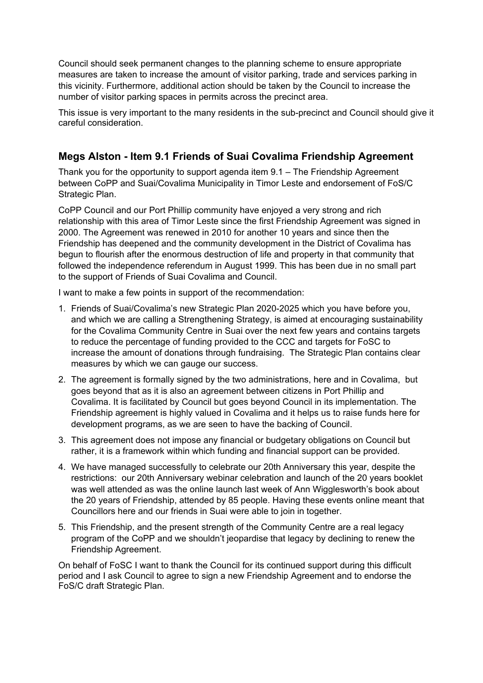Council should seek permanent changes to the planning scheme to ensure appropriate measures are taken to increase the amount of visitor parking, trade and services parking in this vicinity. Furthermore, additional action should be taken by the Council to increase the number of visitor parking spaces in permits across the precinct area.

This issue is very important to the many residents in the sub-precinct and Council should give it careful consideration.

# **Megs Alston - Item 9.1 Friends of Suai Covalima Friendship Agreement**

Thank you for the opportunity to support agenda item 9.1 – The Friendship Agreement between CoPP and Suai/Covalima Municipality in Timor Leste and endorsement of FoS/C Strategic Plan.

CoPP Council and our Port Phillip community have enjoyed a very strong and rich relationship with this area of Timor Leste since the first Friendship Agreement was signed in 2000. The Agreement was renewed in 2010 for another 10 years and since then the Friendship has deepened and the community development in the District of Covalima has begun to flourish after the enormous destruction of life and property in that community that followed the independence referendum in August 1999. This has been due in no small part to the support of Friends of Suai Covalima and Council.

I want to make a few points in support of the recommendation:

- 1. Friends of Suai/Covalima's new Strategic Plan 2020-2025 which you have before you, and which we are calling a Strengthening Strategy, is aimed at encouraging sustainability for the Covalima Community Centre in Suai over the next few years and contains targets to reduce the percentage of funding provided to the CCC and targets for FoSC to increase the amount of donations through fundraising. The Strategic Plan contains clear measures by which we can gauge our success.
- 2. The agreement is formally signed by the two administrations, here and in Covalima, but goes beyond that as it is also an agreement between citizens in Port Phillip and Covalima. It is facilitated by Council but goes beyond Council in its implementation. The Friendship agreement is highly valued in Covalima and it helps us to raise funds here for development programs, as we are seen to have the backing of Council.
- 3. This agreement does not impose any financial or budgetary obligations on Council but rather, it is a framework within which funding and financial support can be provided.
- 4. We have managed successfully to celebrate our 20th Anniversary this year, despite the restrictions: our 20th Anniversary webinar celebration and launch of the 20 years booklet was well attended as was the online launch last week of Ann Wigglesworth's book about the 20 years of Friendship, attended by 85 people. Having these events online meant that Councillors here and our friends in Suai were able to join in together.
- 5. This Friendship, and the present strength of the Community Centre are a real legacy program of the CoPP and we shouldn't jeopardise that legacy by declining to renew the Friendship Agreement.

On behalf of FoSC I want to thank the Council for its continued support during this difficult period and I ask Council to agree to sign a new Friendship Agreement and to endorse the FoS/C draft Strategic Plan.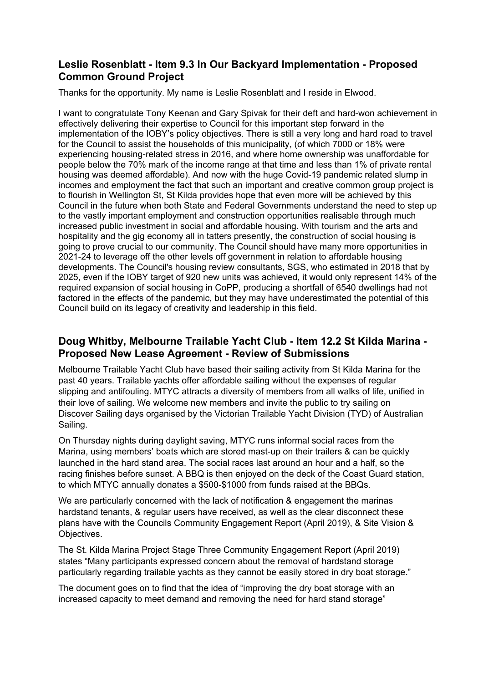# **Leslie Rosenblatt - Item 9.3 In Our Backyard Implementation - Proposed Common Ground Project**

Thanks for the opportunity. My name is Leslie Rosenblatt and I reside in Elwood.

I want to congratulate Tony Keenan and Gary Spivak for their deft and hard-won achievement in effectively delivering their expertise to Council for this important step forward in the implementation of the IOBY's policy objectives. There is still a very long and hard road to travel for the Council to assist the households of this municipality, (of which 7000 or 18% were experiencing housing-related stress in 2016, and where home ownership was unaffordable for people below the 70% mark of the income range at that time and less than 1% of private rental housing was deemed affordable). And now with the huge Covid-19 pandemic related slump in incomes and employment the fact that such an important and creative common group project is to flourish in Wellington St, St Kilda provides hope that even more will be achieved by this Council in the future when both State and Federal Governments understand the need to step up to the vastly important employment and construction opportunities realisable through much increased public investment in social and affordable housing. With tourism and the arts and hospitality and the gig economy all in tatters presently, the construction of social housing is going to prove crucial to our community. The Council should have many more opportunities in 2021-24 to leverage off the other levels off government in relation to affordable housing developments. The Council's housing review consultants, SGS, who estimated in 2018 that by 2025, even if the IOBY target of 920 new units was achieved, it would only represent 14% of the required expansion of social housing in CoPP, producing a shortfall of 6540 dwellings had not factored in the effects of the pandemic, but they may have underestimated the potential of this Council build on its legacy of creativity and leadership in this field.

# **Doug Whitby, Melbourne Trailable Yacht Club - Item 12.2 St Kilda Marina - Proposed New Lease Agreement - Review of Submissions**

Melbourne Trailable Yacht Club have based their sailing activity from St Kilda Marina for the past 40 years. Trailable yachts offer affordable sailing without the expenses of regular slipping and antifouling. MTYC attracts a diversity of members from all walks of life, unified in their love of sailing. We welcome new members and invite the public to try sailing on Discover Sailing days organised by the Victorian Trailable Yacht Division (TYD) of Australian Sailing.

On Thursday nights during daylight saving, MTYC runs informal social races from the Marina, using members' boats which are stored mast-up on their trailers & can be quickly launched in the hard stand area. The social races last around an hour and a half, so the racing finishes before sunset. A BBQ is then enjoyed on the deck of the Coast Guard station, to which MTYC annually donates a \$500-\$1000 from funds raised at the BBQs.

We are particularly concerned with the lack of notification & engagement the marinas hardstand tenants, & regular users have received, as well as the clear disconnect these plans have with the Councils Community Engagement Report (April 2019), & Site Vision & Objectives.

The St. Kilda Marina Project Stage Three Community Engagement Report (April 2019) states "Many participants expressed concern about the removal of hardstand storage particularly regarding trailable yachts as they cannot be easily stored in dry boat storage."

The document goes on to find that the idea of "improving the dry boat storage with an increased capacity to meet demand and removing the need for hard stand storage"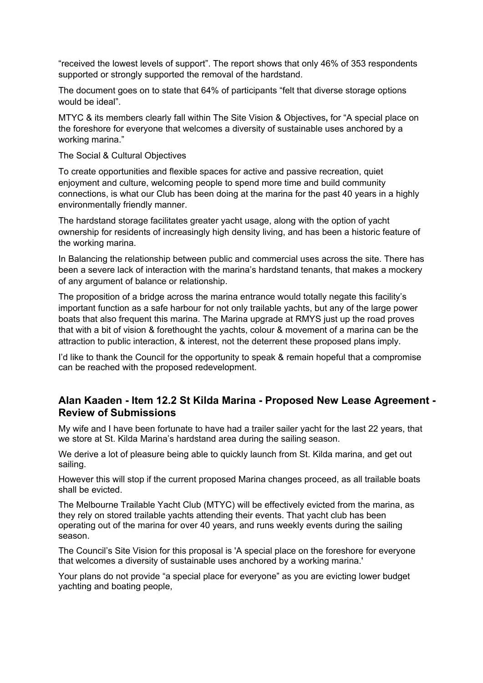"received the lowest levels of support". The report shows that only 46% of 353 respondents supported or strongly supported the removal of the hardstand.

The document goes on to state that 64% of participants "felt that diverse storage options would be ideal".

MTYC & its members clearly fall within The Site Vision & Objectives**,** for "A special place on the foreshore for everyone that welcomes a diversity of sustainable uses anchored by a working marina."

The Social & Cultural Objectives

To create opportunities and flexible spaces for active and passive recreation, quiet enjoyment and culture, welcoming people to spend more time and build community connections, is what our Club has been doing at the marina for the past 40 years in a highly environmentally friendly manner.

The hardstand storage facilitates greater yacht usage, along with the option of yacht ownership for residents of increasingly high density living, and has been a historic feature of the working marina.

In Balancing the relationship between public and commercial uses across the site. There has been a severe lack of interaction with the marina's hardstand tenants, that makes a mockery of any argument of balance or relationship.

The proposition of a bridge across the marina entrance would totally negate this facility's important function as a safe harbour for not only trailable yachts, but any of the large power boats that also frequent this marina. The Marina upgrade at RMYS just up the road proves that with a bit of vision & forethought the yachts, colour & movement of a marina can be the attraction to public interaction, & interest, not the deterrent these proposed plans imply.

I'd like to thank the Council for the opportunity to speak & remain hopeful that a compromise can be reached with the proposed redevelopment.

## **Alan Kaaden - Item 12.2 St Kilda Marina - Proposed New Lease Agreement - Review of Submissions**

My wife and I have been fortunate to have had a trailer sailer yacht for the last 22 years, that we store at St. Kilda Marina's hardstand area during the sailing season.

We derive a lot of pleasure being able to quickly launch from St. Kilda marina, and get out sailing.

However this will stop if the current proposed Marina changes proceed, as all trailable boats shall be evicted.

The Melbourne Trailable Yacht Club (MTYC) will be effectively evicted from the marina, as they rely on stored trailable yachts attending their events. That yacht club has been operating out of the marina for over 40 years, and runs weekly events during the sailing season.

The Council's Site Vision for this proposal is 'A special place on the foreshore for everyone that welcomes a diversity of sustainable uses anchored by a working marina.'

Your plans do not provide "a special place for everyone" as you are evicting lower budget yachting and boating people,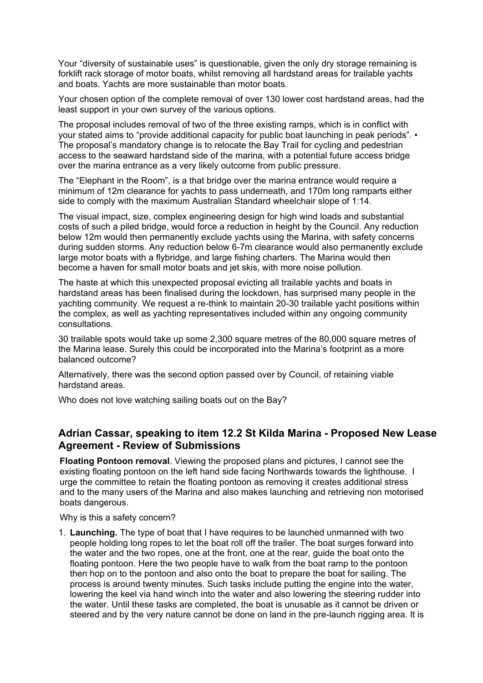Your "diversity of sustainable uses" is questionable, given the only dry storage remaining is forklift rack storage of motor boats, whilst removing all hardstand areas for trailable yachts and boats. Yachts are more sustainable than motor boats.

Your chosen option of the complete removal of over 130 lower cost hardstand areas, had the least support in your own survey of the various options.

The proposal includes removal of two of the three existing ramps, which is in conflict with your stated aims to "provide additional capacity for public boat launching in peak periods". • The proposal's mandatory change is to relocate the Bay Trail for cycling and pedestrian access to the seaward hardstand side of the marina, with a potential future access bridge over the marina entrance as a very likely outcome from public pressure.

The "Elephant in the Room", is a that bridge over the marina entrance would require a minimum of 12m clearance for yachts to pass underneath, and 170m long ramparts either side to comply with the maximum Australian Standard wheelchair slope of 1:14.

The visual impact, size, complex engineering design for high wind loads and substantial costs of such a piled bridge, would force a reduction in height by the Council. Any reduction below 12m would then permanently exclude yachts using the Marina, with safety concerns during sudden storms. Any reduction below 6-7m clearance would also permanently exclude large motor boats with a flybridge, and large fishing charters. The Marina would then become a haven for small motor boats and jet skis, with more noise pollution.

The haste at which this unexpected proposal evicting all trailable yachts and boats in hardstand areas has been finalised during the lockdown, has surprised many people in the yachting community. We request a re-think to maintain 20-30 trailable yacht positions within the complex, as well as yachting representatives included within any ongoing community consultations.

30 trailable spots would take up some 2,300 square metres of the 80,000 square metres of the Marina lease. Surely this could be incorporated into the Marina's footprint as a more balanced outcome?

Alternatively, there was the second option passed over by Council, of retaining viable hardstand areas.

Who does not love watching sailing boats out on the Bay?

## **Adrian Cassar, speaking to item 12.2 St Kilda Marina - Proposed New Lease Agreement - Review of Submissions**

**Floating Pontoon removal**. Viewing the proposed plans and pictures, I cannot see the existing floating pontoon on the left hand side facing Northwards towards the lighthouse. I urge the committee to retain the floating pontoon as removing it creates additional stress and to the many users of the Marina and also makes launching and retrieving non motorised boats dangerous.

Why is this a safety concern?

1. **Launching.** The type of boat that I have requires to be launched unmanned with two people holding long ropes to let the boat roll off the trailer. The boat surges forward into the water and the two ropes, one at the front, one at the rear, guide the boat onto the floating pontoon. Here the two people have to walk from the boat ramp to the pontoon then hop on to the pontoon and also onto the boat to prepare the boat for sailing. The process is around twenty minutes. Such tasks include putting the engine into the water, lowering the keel via hand winch into the water and also lowering the steering rudder into the water. Until these tasks are completed, the boat is unusable as it cannot be driven or steered and by the very nature cannot be done on land in the pre-launch rigging area. It is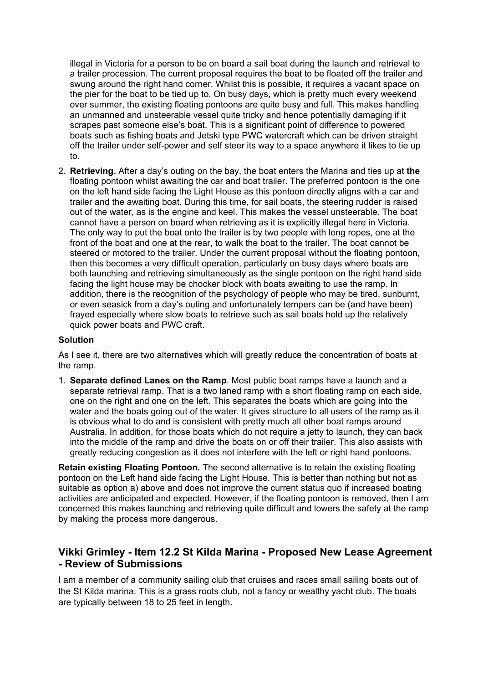illegal in Victoria for a person to be on board a sail boat during the launch and retrieval to a trailer procession. The current proposal requires the boat to be floated off the trailer and swung around the right hand corner. Whilst this is possible, it requires a vacant space on the pier for the boat to be tied up to. On busy days, which is pretty much every weekend over summer, the existing floating pontoons are quite busy and full. This makes handling an unmanned and unsteerable vessel quite tricky and hence potentially damaging if it scrapes past someone else's boat. This is a significant point of difference to powered boats such as fishing boats and Jetski type PWC watercraft which can be driven straight off the trailer under self-power and self steer its way to a space anywhere it likes to tie up to.

2. **Retrieving.** After a day's outing on the bay, the boat enters the Marina and ties up at **the** floating pontoon whilst awaiting the car and boat trailer. The preferred pontoon is the one on the left hand side facing the Light House as this pontoon directly aligns with a car and trailer and the awaiting boat. During this time, for sail boats, the steering rudder is raised out of the water, as is the engine and keel. This makes the vessel unsteerable. The boat cannot have a person on board when retrieving as it is explicitly illegal here in Victoria. The only way to put the boat onto the trailer is by two people with long ropes, one at the front of the boat and one at the rear, to walk the boat to the trailer. The boat cannot be steered or motored to the trailer. Under the current proposal without the floating pontoon, then this becomes a very difficult operation, particularly on busy days where boats are both launching and retrieving simultaneously as the single pontoon on the right hand side facing the light house may be chocker block with boats awaiting to use the ramp. In addition, there is the recognition of the psychology of people who may be tired, sunburnt, or even seasick from a day's outing and unfortunately tempers can be (and have been) frayed especially where slow boats to retrieve such as sail boats hold up the relatively quick power boats and PWC craft.

#### **Solution**

As I see it, there are two alternatives which will greatly reduce the concentration of boats at the ramp.

1. **Separate defined Lanes on the Ramp**. Most public boat ramps have a launch and a separate retrieval ramp. That is a two laned ramp with a short floating ramp on each side, one on the right and one on the left. This separates the boats which are going into the water and the boats going out of the water. It gives structure to all users of the ramp as it is obvious what to do and is consistent with pretty much all other boat ramps around Australia. In addition, for those boats which do not require a jetty to launch, they can back into the middle of the ramp and drive the boats on or off their trailer. This also assists with greatly reducing congestion as it does not interfere with the left or right hand pontoons.

**Retain existing Floating Pontoon.** The second alternative is to retain the existing floating pontoon on the Left hand side facing the Light House. This is better than nothing but not as suitable as option a) above and does not improve the current status quo if increased boating activities are anticipated and expected. However, if the floating pontoon is removed, then I am concerned this makes launching and retrieving quite difficult and lowers the safety at the ramp by making the process more dangerous.

## **Vikki Grimley - Item 12.2 St Kilda Marina - Proposed New Lease Agreement - Review of Submissions**

I am a member of a community sailing club that cruises and races small sailing boats out of the St Kilda marina. This is a grass roots club, not a fancy or wealthy yacht club. The boats are typically between 18 to 25 feet in length.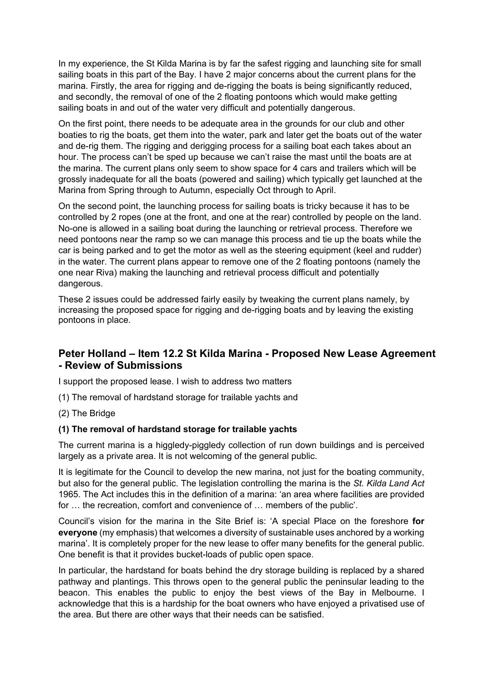In my experience, the St Kilda Marina is by far the safest rigging and launching site for small sailing boats in this part of the Bay. I have 2 major concerns about the current plans for the marina. Firstly, the area for rigging and de-rigging the boats is being significantly reduced, and secondly, the removal of one of the 2 floating pontoons which would make getting sailing boats in and out of the water very difficult and potentially dangerous.

On the first point, there needs to be adequate area in the grounds for our club and other boaties to rig the boats, get them into the water, park and later get the boats out of the water and de-rig them. The rigging and derigging process for a sailing boat each takes about an hour. The process can't be sped up because we can't raise the mast until the boats are at the marina. The current plans only seem to show space for 4 cars and trailers which will be grossly inadequate for all the boats (powered and sailing) which typically get launched at the Marina from Spring through to Autumn, especially Oct through to April.

On the second point, the launching process for sailing boats is tricky because it has to be controlled by 2 ropes (one at the front, and one at the rear) controlled by people on the land. No-one is allowed in a sailing boat during the launching or retrieval process. Therefore we need pontoons near the ramp so we can manage this process and tie up the boats while the car is being parked and to get the motor as well as the steering equipment (keel and rudder) in the water. The current plans appear to remove one of the 2 floating pontoons (namely the one near Riva) making the launching and retrieval process difficult and potentially dangerous.

These 2 issues could be addressed fairly easily by tweaking the current plans namely, by increasing the proposed space for rigging and de-rigging boats and by leaving the existing pontoons in place.

## **Peter Holland – Item 12.2 St Kilda Marina - Proposed New Lease Agreement - Review of Submissions**

I support the proposed lease. I wish to address two matters

- (1) The removal of hardstand storage for trailable yachts and
- (2) The Bridge

#### **(1) The removal of hardstand storage for trailable yachts**

The current marina is a higgledy-piggledy collection of run down buildings and is perceived largely as a private area. It is not welcoming of the general public.

It is legitimate for the Council to develop the new marina, not just for the boating community, but also for the general public. The legislation controlling the marina is the *St. Kilda Land Act* 1965. The Act includes this in the definition of a marina: 'an area where facilities are provided for … the recreation, comfort and convenience of … members of the public'.

Council's vision for the marina in the Site Brief is: 'A special Place on the foreshore **for everyone** (my emphasis) that welcomes a diversity of sustainable uses anchored by a working marina'. It is completely proper for the new lease to offer many benefits for the general public. One benefit is that it provides bucket-loads of public open space.

In particular, the hardstand for boats behind the dry storage building is replaced by a shared pathway and plantings. This throws open to the general public the peninsular leading to the beacon. This enables the public to enjoy the best views of the Bay in Melbourne. I acknowledge that this is a hardship for the boat owners who have enjoyed a privatised use of the area. But there are other ways that their needs can be satisfied.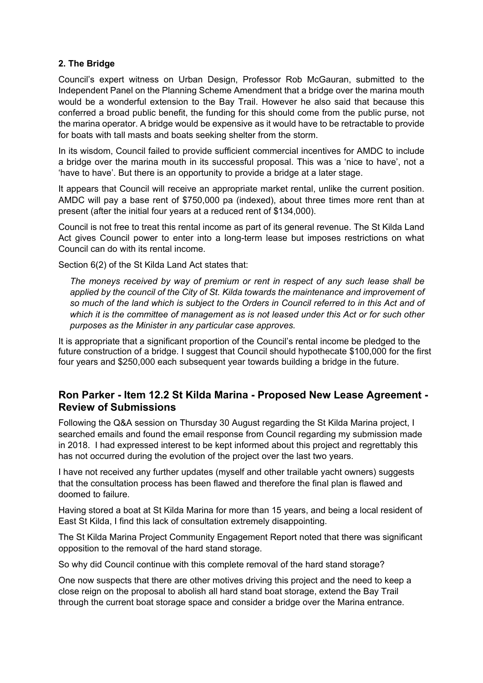### **2. The Bridge**

Council's expert witness on Urban Design, Professor Rob McGauran, submitted to the Independent Panel on the Planning Scheme Amendment that a bridge over the marina mouth would be a wonderful extension to the Bay Trail. However he also said that because this conferred a broad public benefit, the funding for this should come from the public purse, not the marina operator. A bridge would be expensive as it would have to be retractable to provide for boats with tall masts and boats seeking shelter from the storm.

In its wisdom, Council failed to provide sufficient commercial incentives for AMDC to include a bridge over the marina mouth in its successful proposal. This was a 'nice to have', not a 'have to have'. But there is an opportunity to provide a bridge at a later stage.

It appears that Council will receive an appropriate market rental, unlike the current position. AMDC will pay a base rent of \$750,000 pa (indexed), about three times more rent than at present (after the initial four years at a reduced rent of \$134,000).

Council is not free to treat this rental income as part of its general revenue. The St Kilda Land Act gives Council power to enter into a long-term lease but imposes restrictions on what Council can do with its rental income.

Section 6(2) of the St Kilda Land Act states that:

*The moneys received by way of premium or rent in respect of any such lease shall be applied by the council of the City of St. Kilda towards the maintenance and improvement of so much of the land which is subject to the Orders in Council referred to in this Act and of which it is the committee of management as is not leased under this Act or for such other purposes as the Minister in any particular case approves.* 

It is appropriate that a significant proportion of the Council's rental income be pledged to the future construction of a bridge. I suggest that Council should hypothecate \$100,000 for the first four years and \$250,000 each subsequent year towards building a bridge in the future.

## **Ron Parker - Item 12.2 St Kilda Marina - Proposed New Lease Agreement - Review of Submissions**

Following the Q&A session on Thursday 30 August regarding the St Kilda Marina project, I searched emails and found the email response from Council regarding my submission made in 2018. I had expressed interest to be kept informed about this project and regrettably this has not occurred during the evolution of the project over the last two years.

I have not received any further updates (myself and other trailable yacht owners) suggests that the consultation process has been flawed and therefore the final plan is flawed and doomed to failure.

Having stored a boat at St Kilda Marina for more than 15 years, and being a local resident of East St Kilda, I find this lack of consultation extremely disappointing.

The St Kilda Marina Project Community Engagement Report noted that there was significant opposition to the removal of the hard stand storage.

So why did Council continue with this complete removal of the hard stand storage?

One now suspects that there are other motives driving this project and the need to keep a close reign on the proposal to abolish all hard stand boat storage, extend the Bay Trail through the current boat storage space and consider a bridge over the Marina entrance.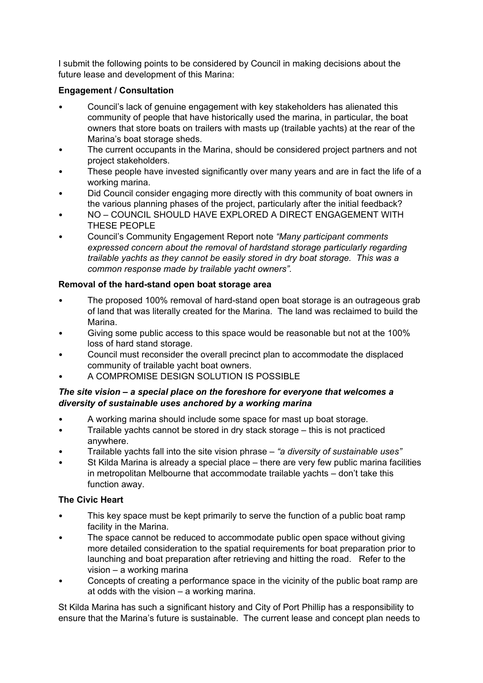I submit the following points to be considered by Council in making decisions about the future lease and development of this Marina:

## **Engagement / Consultation**

- Council's lack of genuine engagement with key stakeholders has alienated this community of people that have historically used the marina, in particular, the boat owners that store boats on trailers with masts up (trailable yachts) at the rear of the Marina's boat storage sheds.
- The current occupants in the Marina, should be considered project partners and not project stakeholders.
- These people have invested significantly over many years and are in fact the life of a working marina.
- Did Council consider engaging more directly with this community of boat owners in the various planning phases of the project, particularly after the initial feedback?
- NO COUNCIL SHOULD HAVE EXPLORED A DIRECT ENGAGEMENT WITH THESE PEOPLE
- Council's Community Engagement Report note *"Many participant comments expressed concern about the removal of hardstand storage particularly regarding trailable yachts as they cannot be easily stored in dry boat storage. This was a common response made by trailable yacht owners".*

## **Removal of the hard-stand open boat storage area**

- The proposed 100% removal of hard-stand open boat storage is an outrageous grab of land that was literally created for the Marina. The land was reclaimed to build the Marina.
- Giving some public access to this space would be reasonable but not at the 100% loss of hard stand storage.
- Council must reconsider the overall precinct plan to accommodate the displaced community of trailable yacht boat owners.
- A COMPROMISE DESIGN SOLUTION IS POSSIBLE

## *The site vision – a special place on the foreshore for everyone that welcomes a diversity of sustainable uses anchored by a working marina*

- A working marina should include some space for mast up boat storage.
- Trailable yachts cannot be stored in dry stack storage this is not practiced anywhere.
- Trailable yachts fall into the site vision phrase *"a diversity of sustainable uses"*
- St Kilda Marina is already a special place there are very few public marina facilities in metropolitan Melbourne that accommodate trailable yachts – don't take this function away.

## **The Civic Heart**

- This key space must be kept primarily to serve the function of a public boat ramp facility in the Marina.
- The space cannot be reduced to accommodate public open space without giving more detailed consideration to the spatial requirements for boat preparation prior to launching and boat preparation after retrieving and hitting the road. Refer to the vision – a working marina
- Concepts of creating a performance space in the vicinity of the public boat ramp are at odds with the vision – a working marina.

St Kilda Marina has such a significant history and City of Port Phillip has a responsibility to ensure that the Marina's future is sustainable. The current lease and concept plan needs to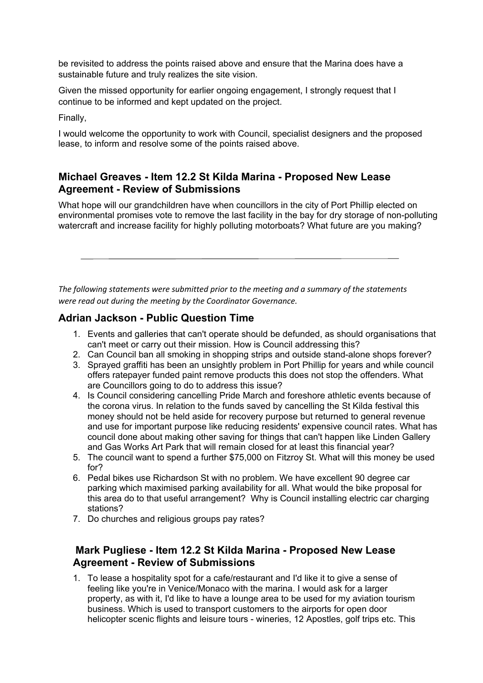be revisited to address the points raised above and ensure that the Marina does have a sustainable future and truly realizes the site vision.

Given the missed opportunity for earlier ongoing engagement, I strongly request that I continue to be informed and kept updated on the project.

Finally,

I would welcome the opportunity to work with Council, specialist designers and the proposed lease, to inform and resolve some of the points raised above.

## **Michael Greaves - Item 12.2 St Kilda Marina - Proposed New Lease Agreement - Review of Submissions**

What hope will our grandchildren have when councillors in the city of Port Phillip elected on environmental promises vote to remove the last facility in the bay for dry storage of non-polluting watercraft and increase facility for highly polluting motorboats? What future are you making?

*The following statements were submitted prior to the meeting and a summary of the statements were read out during the meeting by the Coordinator Governance.*

## **Adrian Jackson - Public Question Time**

- 1. Events and galleries that can't operate should be defunded, as should organisations that can't meet or carry out their mission. How is Council addressing this?
- 2. Can Council ban all smoking in shopping strips and outside stand-alone shops forever?
- 3. Sprayed graffiti has been an unsightly problem in Port Phillip for years and while council offers ratepayer funded paint remove products this does not stop the offenders. What are Councillors going to do to address this issue?
- 4. Is Council considering cancelling Pride March and foreshore athletic events because of the corona virus. In relation to the funds saved by cancelling the St Kilda festival this money should not be held aside for recovery purpose but returned to general revenue and use for important purpose like reducing residents' expensive council rates. What has council done about making other saving for things that can't happen like Linden Gallery and Gas Works Art Park that will remain closed for at least this financial year?
- 5. The council want to spend a further \$75,000 on Fitzroy St. What will this money be used for?
- 6. Pedal bikes use Richardson St with no problem. We have excellent 90 degree car parking which maximised parking availability for all. What would the bike proposal for this area do to that useful arrangement? Why is Council installing electric car charging stations?
- 7. Do churches and religious groups pay rates?

# **Mark Pugliese - Item 12.2 St Kilda Marina - Proposed New Lease Agreement - Review of Submissions**

1. To lease a hospitality spot for a cafe/restaurant and I'd like it to give a sense of feeling like you're in Venice/Monaco with the marina. I would ask for a larger property, as with it, I'd like to have a lounge area to be used for my aviation tourism business. Which is used to transport customers to the airports for open door helicopter scenic flights and leisure tours - wineries, 12 Apostles, golf trips etc. This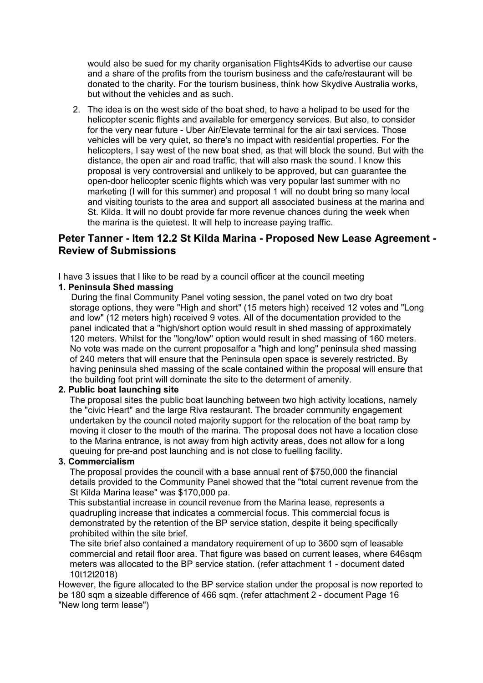would also be sued for my charity organisation Flights4Kids to advertise our cause and a share of the profits from the tourism business and the cafe/restaurant will be donated to the charity. For the tourism business, think how Skydive Australia works, but without the vehicles and as such.

2. The idea is on the west side of the boat shed, to have a helipad to be used for the helicopter scenic flights and available for emergency services. But also, to consider for the very near future - Uber Air/Elevate terminal for the air taxi services. Those vehicles will be very quiet, so there's no impact with residential properties. For the helicopters, I say west of the new boat shed, as that will block the sound. But with the distance, the open air and road traffic, that will also mask the sound. I know this proposal is very controversial and unlikely to be approved, but can guarantee the open-door helicopter scenic flights which was very popular last summer with no marketing (I will for this summer) and proposal 1 will no doubt bring so many local and visiting tourists to the area and support all associated business at the marina and St. Kilda. It will no doubt provide far more revenue chances during the week when the marina is the quietest. It will help to increase paying traffic.

## **Peter Tanner - Item 12.2 St Kilda Marina - Proposed New Lease Agreement - Review of Submissions**

I have 3 issues that I like to be read by a council officer at the council meeting

#### **1. Peninsula Shed massing**

During the final Community Panel voting session, the panel voted on two dry boat storage options, they were "High and short" (15 meters high) received 12 votes and "Long and low" (12 meters high) received 9 votes. All of the documentation provided to the panel indicated that a "high/short option would result in shed massing of approximately 120 meters. Whilst for the "long/low" option would result in shed massing of 160 meters. No vote was made on the current proposalfor a "high and long" peninsula shed massing of 240 meters that will ensure that the Peninsula open space is severely restricted. By having peninsula shed massing of the scale contained within the proposal will ensure that the building foot print will dominate the site to the determent of amenity.

#### **2. Public boat launching site**

The proposal sites the public boat launching between two high activity locations, namely the "civic Heart" and the large Riva restaurant. The broader cornmunity engagement undertaken by the council noted majority support for the relocation of the boat ramp by moving it closer to the mouth of the marina. The proposal does not have a location close to the Marina entrance, is not away from high activity areas, does not allow for a long queuing for pre-and post launching and is not close to fuelling facility.

#### **3. Commercialism**

The proposal provides the council with a base annual rent of \$750,000 the financial details provided to the Community Panel showed that the "total current revenue from the St Kilda Marina lease" was \$170,000 pa.

This substantial increase in council revenue from the Marina lease, represents a quadrupling increase that indicates a commercial focus. This commercial focus is demonstrated by the retention of the BP service station, despite it being specifically prohibited within the site brief.

The site brief also contained a mandatory requirement of up to 3600 sqm of leasable commercial and retail floor area. That figure was based on current leases, where 646sqm meters was allocated to the BP service station. (refer attachment 1 - document dated 10t12t2018)

However, the figure allocated to the BP service station under the proposal is now reported to be 180 sqm a sizeable difference of 466 sqm. (refer attachment 2 - document Page 16 "New long term lease")